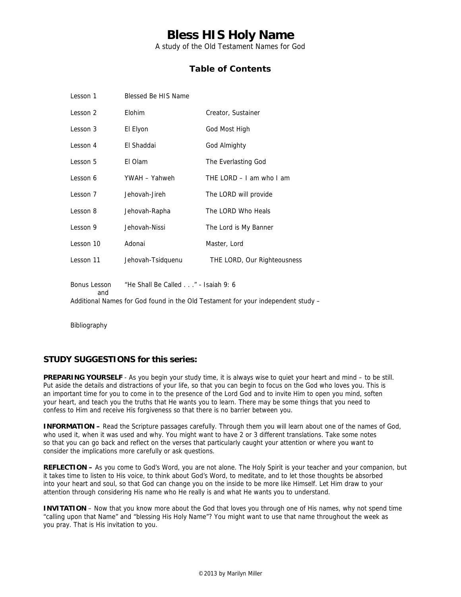A study of the Old Testament Names for God

## **Table of Contents**

| Lesson 1                                                                                                                                      | Blessed Be HIS Name |                             |
|-----------------------------------------------------------------------------------------------------------------------------------------------|---------------------|-----------------------------|
| Lesson 2                                                                                                                                      | Elohim              | Creator, Sustainer          |
| Lesson 3                                                                                                                                      | El Elyon            | God Most High               |
| Lesson 4                                                                                                                                      | El Shaddai          | God Almighty                |
| Lesson 5                                                                                                                                      | El Olam             | The Everlasting God         |
| Lesson 6                                                                                                                                      | YWAH - Yahweh       | THE LORD $-$ I am who I am  |
| Lesson 7                                                                                                                                      | Jehovah-Jireh       | The LORD will provide       |
| Lesson 8                                                                                                                                      | Jehovah-Rapha       | The LORD Who Heals          |
| Lesson 9                                                                                                                                      | Jehovah-Nissi       | The Lord is My Banner       |
| Lesson 10                                                                                                                                     | Adonai              | Master, Lord                |
| Lesson 11                                                                                                                                     | Jehovah-Tsidquenu   | THE LORD, Our Righteousness |
| "He Shall Be Called" - Isaiah 9: 6<br>Bonus Lesson<br>and<br>Additional Names for God found in the Old Testament for your independent study - |                     |                             |

Bibliography

### **STUDY SUGGESTIONS for this series:**

**PREPARING YOURSELF** - As you begin your study time, it is always wise to quiet your heart and mind – to be still. Put aside the details and distractions of your life, so that you can begin to focus on the God who loves you. This is an important time for you to come in to the presence of the Lord God and to invite Him to open you mind, soften your heart, and teach you the truths that He wants you to learn. There may be some things that you need to confess to Him and receive His forgiveness so that there is no barrier between you.

**INFORMATION –** Read the Scripture passages carefully. Through them you will learn about one of the names of God, who used it, when it was used and why. You might want to have 2 or 3 different translations. Take some notes so that you can go back and reflect on the verses that particularly caught your attention or where you want to consider the implications more carefully or ask questions.

**REFLECTION –** As you come to God's Word, you are not alone. The Holy Spirit is your teacher and your companion, but it takes time to listen to His voice, to think about God's Word, to meditate, and to let those thoughts be absorbed into your heart and soul, so that God can change you on the inside to be more like Himself. Let Him draw to your attention through considering His name who He really is and what He wants you to understand.

**INVITATION** – Now that you know more about the God that loves you through one of His names, why not spend time "calling upon that Name" and "blessing His Holy Name"? You might want to use that name throughout the week as you pray. That is His invitation to you.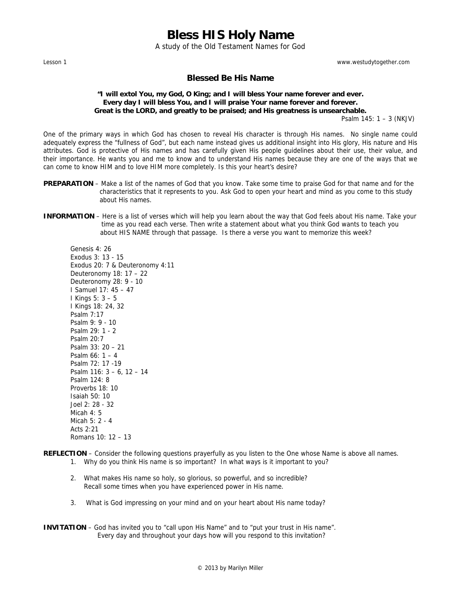A study of the Old Testament Names for God

Lesson 1 www.westudytogether.com

### **Blessed Be His Name**

### **"I will extol You, my God, O King; and I will bless Your name forever and ever. Every day I will bless You, and I will praise Your name forever and forever. Great is the LORD, and greatly to be praised; and His greatness is unsearchable.**

Psalm 145: 1 – 3 (NKJV)

One of the primary ways in which God has chosen to reveal His character is through His names. No single name could adequately express the "fullness of God", but each name instead gives us additional insight into His glory, His nature and His attributes. God is protective of His names and has carefully given His people guidelines about their use, their value, and their importance. He wants you and me to know and to understand His names because they are one of the ways that we can come to know HIM and to love HIM more completely. Is this your heart's desire?

- **PREPARATION**  Make a list of the names of God that you know. Take some time to praise God for that name and for the characteristics that it represents to you. Ask God to open your heart and mind as you come to this study about His names.
- **INFORMATION** Here is a list of verses which will help you learn about the way that God feels about His name. Take your time as you read each verse. Then write a statement about what you think God wants to teach you about HIS NAME through that passage. Is there a verse you want to memorize this week?

Genesis 4: 26 Exodus 3: 13 - 15 Exodus 20: 7 & Deuteronomy 4:11 Deuteronomy 18: 17 – 22 Deuteronomy 28: 9 - 10 I Samuel 17: 45 – 47 I Kings 5: 3 – 5 I Kings 18: 24, 32 Psalm 7:17 Psalm 9: 9 - 10 Psalm 29: 1 - 2 Psalm 20:7 Psalm 33: 20 – 21 Psalm 66: 1 – 4 Psalm 72: 17 -19 Psalm 116: 3 – 6, 12 – 14 Psalm 124: 8 Proverbs 18: 10 Isaiah 50: 10 Joel 2: 28 - 32 Micah  $4 \cdot 5$ Micah 5: 2 - 4 Acts  $2.21$ 

Romans 10: 12 – 13

**REFLECTION** – Consider the following questions prayerfully as you listen to the One whose Name is above all names.

- 1. Why do you think His name is so important? In what ways is it important to you?
- 2. What makes His name so holy, so glorious, so powerful, and so incredible? Recall some times when you have experienced power in His name.
- 3. What is God impressing on your mind and on your heart about His name today?
- **INVITATION**  God has invited you to "call upon His Name" and to "put your trust in His name". Every day and throughout your days how will you respond to this invitation?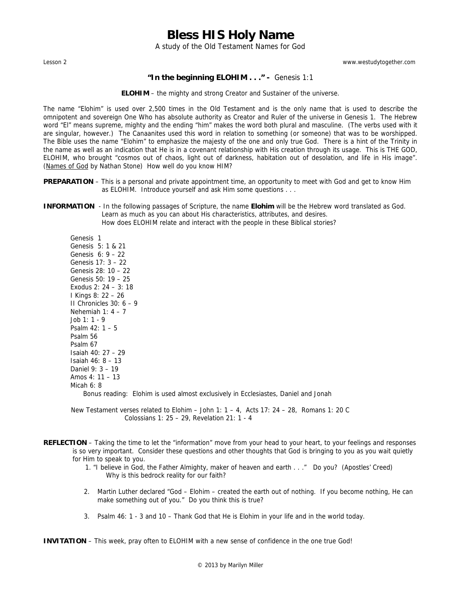A study of the Old Testament Names for God

Lesson 2 www.westudytogether.com

### **"In the beginning ELOHIM . . ." -** Genesis 1:1

**ELOHIM** – the mighty and strong Creator and Sustainer of the universe.

The name "Elohim" is used over 2,500 times in the Old Testament and is the only name that is used to describe the omnipotent and sovereign One Who has absolute authority as Creator and Ruler of the universe in Genesis 1. The Hebrew word "El" means supreme, mighty and the ending "him" makes the word both plural and masculine. (The verbs used with it are singular, however.) The Canaanites used this word in relation to something (or someone) that was to be worshipped. The Bible uses the name "Elohim" to emphasize the majesty of the one and only true God. There is a hint of the Trinity in the name as well as an indication that He is in a covenant relationship with His creation through its usage. This is THE GOD, ELOHIM, who brought "cosmos out of chaos, light out of darkness, habitation out of desolation, and life in His image". (Names of God by Nathan Stone) How well do you know HIM?

- **PREPARATION** This is a personal and private appointment time, an opportunity to meet with God and get to know Him as ELOHIM. Introduce yourself and ask Him some questions . . .
- **INFORMATION** In the following passages of Scripture, the name **Elohim** will be the Hebrew word translated as God. Learn as much as you can about His characteristics, attributes, and desires. How does ELOHIM relate and interact with the people in these Biblical stories?

 Genesis 1 Genesis 5: 1 & 21 Genesis 6: 9 – 22 Genesis 17: 3 – 22 Genesis 28: 10 – 22 Genesis 50: 19 – 25 Exodus 2: 24 – 3: 18 I Kings 8: 22 – 26 II Chronicles 30: 6 – 9 Nehemiah 1: 4 – 7 Job 1: 1 - 9 Psalm 42: 1 – 5 Psalm 56 Psalm 67 Isaiah 40: 27 – 29 Isaiah 46: 8 – 13 Daniel 9: 3 – 19 Amos 4: 11 – 13 Micah 6: 8 Bonus reading: Elohim is used almost exclusively in Ecclesiastes, Daniel and Jonah

New Testament verses related to Elohim – John 1:  $1 - 4$ , Acts 17: 24 – 28, Romans 1: 20 C Colossians 1: 25 – 29, Revelation 21: 1 - 4

- **REFLECTION**  Taking the time to let the "information" move from your head to your heart, to your feelings and responses is so very important. Consider these questions and other thoughts that God is bringing to you as you wait quietly for Him to speak to you.
	- 1. "I believe in God, the Father Almighty, maker of heaven and earth . . ." Do you? (Apostles' Creed) Why is this bedrock reality for our faith?
	- 2. Martin Luther declared "God Elohim created the earth out of nothing. If you become nothing, He can make something out of you." Do you think this is true?
	- 3. Psalm 46: 1 3 and 10 Thank God that He is Elohim in your life and in the world today.

**INVITATION** – This week, pray often to ELOHIM with a new sense of confidence in the one true God!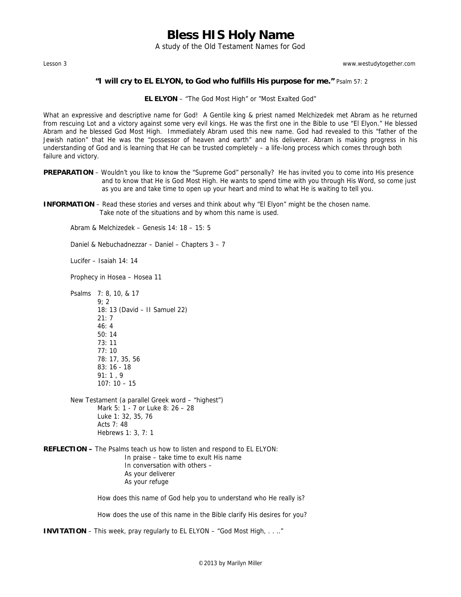A study of the Old Testament Names for God

Lesson 3 www.westudytogether.com

#### **"I will cry to EL ELYON, to God who fulfills His purpose for me."** Psalm 57: 2

**EL ELYON** – "The God Most High" or "Most Exalted God"

What an expressive and descriptive name for God! A Gentile king & priest named Melchizedek met Abram as he returned from rescuing Lot and a victory against some very evil kings. He was the first one in the Bible to use "El Elyon." He blessed Abram and he blessed God Most High. Immediately Abram used this new name. God had revealed to this "father of the Jewish nation" that He was the "possessor of heaven and earth" and his deliverer. Abram is making progress in his understanding of God and is learning that He can be trusted completely – a life-long process which comes through both failure and victory.

- PREPARATION Wouldn't you like to know the "Supreme God" personally? He has invited you to come into His presence and to know that He is God Most High. He wants to spend time with you through His Word, so come just as you are and take time to open up your heart and mind to what He is waiting to tell you.
- **INFORMATION** Read these stories and verses and think about why "El Elyon" might be the chosen name. Take note of the situations and by whom this name is used.

Abram & Melchizedek – Genesis 14: 18 – 15: 5

Daniel & Nebuchadnezzar – Daniel – Chapters 3 – 7

Lucifer – Isaiah 14: 14

Prophecy in Hosea – Hosea 11

Psalms 7: 8, 10, & 17 9; 2 18: 13 (David – II Samuel 22) 21: 7 46: 4 50: 14 73: 11 77: 10 78: 17, 35, 56 83: 16 - 18 91: 1 , 9 107: 10 – 15

- New Testament (a parallel Greek word "highest") Mark 5: 1 - 7 or Luke 8: 26 – 28 Luke 1: 32, 35, 76 Acts 7: 48 Hebrews 1: 3, 7: 1
- **REFLECTION** The Psalms teach us how to listen and respond to EL ELYON: In praise – take time to exult His name In conversation with others – As your deliverer As your refuge

How does this name of God help you to understand who He really is?

How does the use of this name in the Bible clarify His desires for you?

**INVITATION** – This week, pray regularly to EL ELYON – "God Most High, . . .."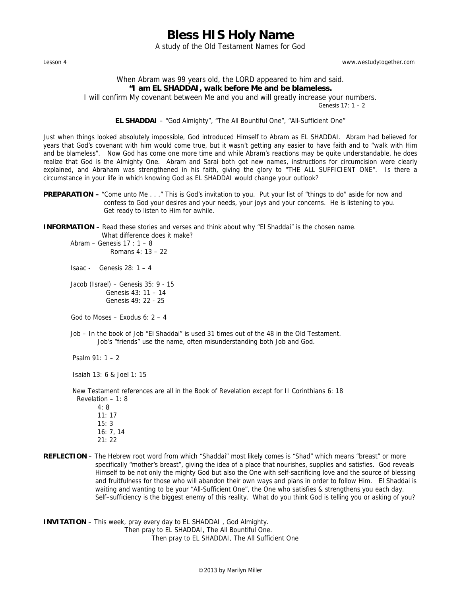A study of the Old Testament Names for God

Lesson 4 www.westudytogether.com

### When Abram was 99 years old, the LORD appeared to him and said. **"I am EL SHADDAI, walk before Me and be blameless.**

I will confirm My covenant between Me and you and will greatly increase your numbers.

Genesis 17: 1 – 2

#### **EL SHADDAI** – "God Almighty", "The All Bountiful One", "All-Sufficient One"

Just when things looked absolutely impossible, God introduced Himself to Abram as EL SHADDAI. Abram had believed for years that God's covenant with him would come true, but it wasn't getting any easier to have faith and to "walk with Him and be blameless". Now God has come one more time and while Abram's reactions may be quite understandable, he does realize that God is the Almighty One. Abram and Sarai both got new names, instructions for circumcision were clearly explained, and Abraham was strengthened in his faith, giving the glory to "THE ALL SUFFICIENT ONE". Is there a circumstance in your life in which knowing God as EL SHADDAI would change your outlook?

**PREPARATION –** "Come unto Me . . ." This is God's invitation to you. Put your list of "things to do" aside for now and confess to God your desires and your needs, your joys and your concerns. He is listening to you. Get ready to listen to Him for awhile.

**INFORMATION** – Read these stories and verses and think about why "El Shaddai" is the chosen name. What difference does it make?

Abram – Genesis  $17:1-8$ Romans  $4 \cdot 13 = 22$ 

Isaac - Genesis 28: 1 – 4

 Jacob (Israel) – Genesis 35: 9 - 15 Genesis 43: 11 – 14 Genesis 49: 22 - 25

God to Moses – Exodus  $6: 2 - 4$ 

Job – In the book of Job "El Shaddai" is used 31 times out of the 48 in the Old Testament. Job's "friends" use the name, often misunderstanding both Job and God.

Psalm 91: 1 – 2

Isaiah 13: 6 & Joel 1: 15

 New Testament references are all in the Book of Revelation except for II Corinthians 6: 18 Revelation – 1: 8

- 4: 8 11: 17 15: 3 16: 7, 14 21: 22
- **REFLECTION**  The Hebrew root word from which "Shaddai" most likely comes is "Shad" which means "breast" or more specifically "mother's breast", giving the idea of a place that nourishes, supplies and satisfies. God reveals Himself to be not only the mighty God but also the One with self-sacrificing love and the source of blessing and fruitfulness for those who will abandon their own ways and plans in order to follow Him. El Shaddai is waiting and wanting to be your "All-Sufficient One", the One who satisfies & strengthens you each day. Self–sufficiency is the biggest enemy of this reality. What do you think God is telling you or asking of you?

**INVITATION** – This week, pray every day to EL SHADDAI , God Almighty. Then pray to EL SHADDAI, The All Bountiful One.

Then pray to EL SHADDAI, The All Sufficient One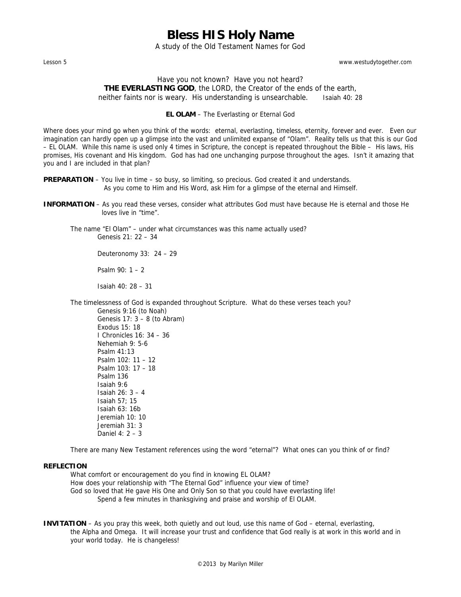A study of the Old Testament Names for God

Lesson 5 www.westudytogether.com

### Have you not known? Have you not heard? **THE EVERLASTING GOD**, the LORD, the Creator of the ends of the earth, neither faints nor is weary. His understanding is unsearchable. Isaiah 40: 28

#### **EL OLAM** – The Everlasting or Eternal God

Where does your mind go when you think of the words: eternal, everlasting, timeless, eternity, forever and ever. Even our imagination can hardly open up a glimpse into the vast and unlimited expanse of "Olam". Reality tells us that this is our God – EL OLAM. While this name is used only 4 times in Scripture, the concept is repeated throughout the Bible – His laws, His promises, His covenant and His kingdom. God has had one unchanging purpose throughout the ages. Isn't it amazing that you and I are included in that plan?

**PREPARATION** – You live in time – so busy, so limiting, so precious. God created it and understands. As you come to Him and His Word, ask Him for a glimpse of the eternal and Himself.

**INFORMATION** – As you read these verses, consider what attributes God must have because He is eternal and those He loves live in "time".

 The name "El Olam" – under what circumstances was this name actually used? Genesis 21: 22 – 34

Deuteronomy 33: 24 – 29

Psalm 90: 1 – 2

Isaiah 40: 28 – 31

 The timelessness of God is expanded throughout Scripture. What do these verses teach you? Genesis 9:16 (to Noah)

 Genesis 17: 3 – 8 (to Abram) Exodus 15: 18 I Chronicles 16: 34 – 36 Nehemiah 9: 5-6 Psalm 41:13 Psalm 102: 11 – 12 Psalm 103: 17 – 18 Psalm 136 Isaiah 9:6 Isaiah 26: 3 – 4 Isaiah 57; 15 Isaiah 63: 16b Jeremiah 10: 10 Jeremiah 31: 3 Daniel 4: 2 – 3

There are many New Testament references using the word "eternal"? What ones can you think of or find?

### **REFLECTION**

 What comfort or encouragement do you find in knowing EL OLAM? How does your relationship with "The Eternal God" influence your view of time? God so loved that He gave His One and Only Son so that you could have everlasting life! Spend a few minutes in thanksgiving and praise and worship of El OLAM.

**INVITATION** – As you pray this week, both quietly and out loud, use this name of God – eternal, everlasting, the Alpha and Omega. It will increase your trust and confidence that God really is at work in this world and in your world today. He is changeless!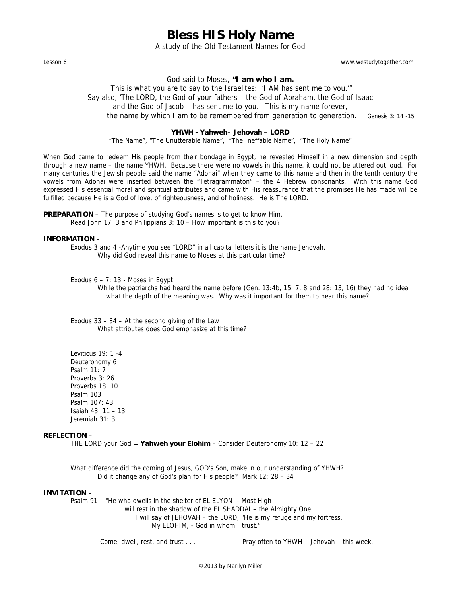A study of the Old Testament Names for God

Lesson 6 www.westudytogether.com

God said to Moses, **"I am who I am.**

 This is what you are to say to the Israelites: 'I AM has sent me to you.'" Say also, 'The LORD, the God of your fathers – the God of Abraham, the God of Isaac and the God of Jacob – has sent me to you.' This is my name forever, the name by which I am to be remembered from generation to generation. Genesis 3: 14 -15

#### **YHWH - Yahweh– Jehovah – LORD**

"The Name", "The Unutterable Name", "The Ineffable Name", "The Holy Name"

When God came to redeem His people from their bondage in Egypt, he revealed Himself in a new dimension and depth through a new name – the name YHWH. Because there were no vowels in this name, it could not be uttered out loud. For many centuries the Jewish people said the name "Adonai" when they came to this name and then in the tenth century the vowels from Adonai were inserted between the "Tetragrammaton" – the 4 Hebrew consonants. With this name God expressed His essential moral and spiritual attributes and came with His reassurance that the promises He has made will be fulfilled because He is a God of love, of righteousness, and of holiness. He is The LORD.

**PREPARATION** – The purpose of studying God's names is to get to know Him. Read John 17: 3 and Philippians 3: 10 – How important is this to you?

#### **INFORMATION** –

 Exodus 3 and 4 -Anytime you see "LORD" in all capital letters it is the name Jehovah. Why did God reveal this name to Moses at this particular time?

Exodus  $6 - 7: 13$  - Moses in Egypt

 While the patriarchs had heard the name before (Gen. 13:4b, 15: 7, 8 and 28: 13, 16) they had no idea what the depth of the meaning was. Why was it important for them to hear this name?

 Exodus 33 – 34 – At the second giving of the Law What attributes does God emphasize at this time?

 Leviticus 19: 1 -4 Deuteronomy 6 Psalm 11: 7 Proverbs 3: 26 Proverbs 18: 10 Psalm 103 Psalm 107: 43 Isaiah 43: 11 – 13 Jeremiah 31: 3

#### **REFLECTION** –

THE LORD your God = **Yahweh your Elohim** – Consider Deuteronomy 10: 12 – 22

 What difference did the coming of Jesus, GOD's Son, make in our understanding of YHWH? Did it change any of God's plan for His people? Mark 12: 28 – 34

#### **INVITATION** –

Psalm 91 – "He who dwells in the shelter of EL ELYON - Most High

 will rest in the shadow of the EL SHADDAI – the Almighty One I will say of JEHOVAH – the LORD, "He is my refuge and my fortress, My ELOHIM, - God in whom I trust."

Come, dwell, rest, and trust . . . Pray often to YHWH – Jehovah – this week.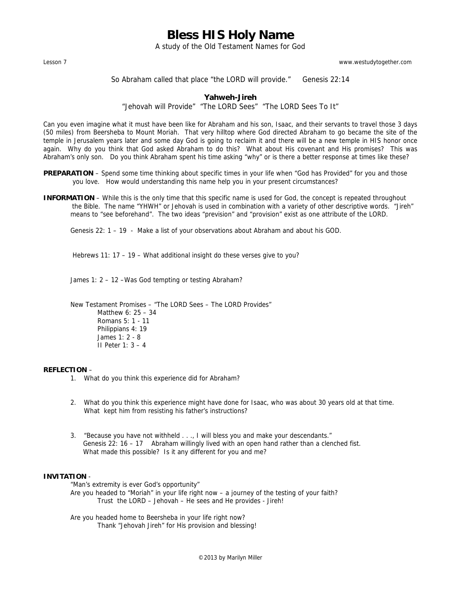A study of the Old Testament Names for God

Lesson 7 www.westudytogether.com

So Abraham called that place "the LORD will provide." Genesis 22:14

#### **Yahweh-Jireh**

"Jehovah will Provide" "The LORD Sees" "The LORD Sees To It"

Can you even imagine what it must have been like for Abraham and his son, Isaac, and their servants to travel those 3 days (50 miles) from Beersheba to Mount Moriah. That very hilltop where God directed Abraham to go became the site of the temple in Jerusalem years later and some day God is going to reclaim it and there will be a new temple in HIS honor once again. Why do you think that God asked Abraham to do this? What about His covenant and His promises? This was Abraham's only son. Do you think Abraham spent his time asking "why" or is there a better response at times like these?

- **PREPARATION** Spend some time thinking about specific times in your life when "God has Provided" for you and those you love. How would understanding this name help you in your present circumstances?
- **INFORMATION** While this is the only time that this specific name is used for God, the concept is repeated throughout the Bible. The name "YHWH" or Jehovah is used in combination with a variety of other descriptive words. "Jireh" means to "see beforehand". The two ideas "prevision" and "provision" exist as one attribute of the LORD.

Genesis 22: 1 – 19 - Make a list of your observations about Abraham and about his GOD.

Hebrews 11: 17 – 19 – What additional insight do these verses give to you?

James 1: 2 – 12 –Was God tempting or testing Abraham?

 New Testament Promises – "The LORD Sees – The LORD Provides" Matthew 6: 25 – 34 Romans 5: 1 - 11 Philippians 4: 19 James 1: 2 - 8 II Peter 1: 3 – 4

#### **REFLECTION** –

- 1. What do you think this experience did for Abraham?
- 2. What do you think this experience might have done for Isaac, who was about 30 years old at that time. What kept him from resisting his father's instructions?
- 3. "Because you have not withheld . . ., I will bless you and make your descendants." Genesis 22: 16 – 17 Abraham willingly lived with an open hand rather than a clenched fist. What made this possible? Is it any different for you and me?

#### **INVITATION** -

"Man's extremity is ever God's opportunity"

 Are you headed to "Moriah" in your life right now – a journey of the testing of your faith? Trust the LORD – Jehovah – He sees and He provides - Jireh!

 Are you headed home to Beersheba in your life right now? Thank "Jehovah Jireh" for His provision and blessing!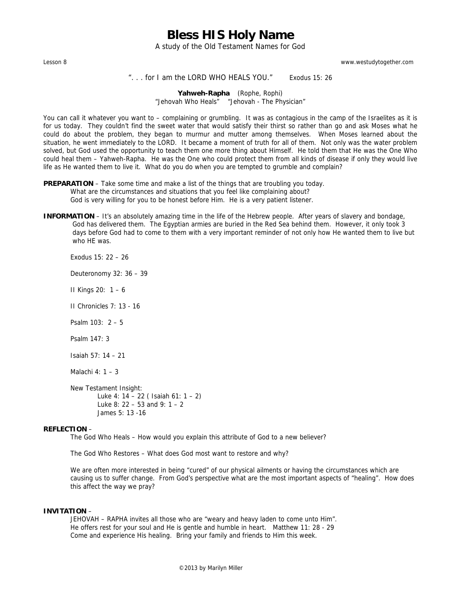A study of the Old Testament Names for God

Lesson 8 www.westudytogether.com

#### ". . . for I am the LORD WHO HEALS YOU." Exodus 15: 26

**Yahweh-Rapha** (Rophe, Rophi) "Jehovah Who Heals" "Jehovah - The Physician"

You can call it whatever you want to – complaining or grumbling. It was as contagious in the camp of the Israelites as it is for us today. They couldn't find the sweet water that would satisfy their thirst so rather than go and ask Moses what he could do about the problem, they began to murmur and mutter among themselves. When Moses learned about the situation, he went immediately to the LORD. It became a moment of truth for all of them. Not only was the water problem solved, but God used the opportunity to teach them one more thing about Himself. He told them that He was the One Who could heal them – Yahweh-Rapha. He was the One who could protect them from all kinds of disease if only they would live life as He wanted them to live it. What do you do when you are tempted to grumble and complain?

**PREPARATION** – Take some time and make a list of the things that are troubling you today. What are the circumstances and situations that you feel like complaining about? God is very willing for you to be honest before Him. He is a very patient listener.

**INFORMATION** – It's an absolutely amazing time in the life of the Hebrew people. After years of slavery and bondage, God has delivered them. The Egyptian armies are buried in the Red Sea behind them. However, it only took 3 days before God had to come to them with a very important reminder of not only how He wanted them to live but who HE was.

Exodus 15: 22 – 26

Deuteronomy 32: 36 – 39

II Kings 20: 1 – 6

II Chronicles 7: 13 - 16

Psalm 103: 2 – 5

Psalm 147: 3

Isaiah 57: 14 – 21

Malachi 4: 1 – 3

 New Testament Insight: Luke 4: 14 – 22 ( Isaiah 61: 1 – 2) Luke 8: 22 – 53 and 9:  $1 - 2$ James 5: 13 -16

#### **REFLECTION** –

The God Who Heals – How would you explain this attribute of God to a new believer?

The God Who Restores – What does God most want to restore and why?

 We are often more interested in being "cured" of our physical ailments or having the circumstances which are causing us to suffer change. From God's perspective what are the most important aspects of "healing". How does this affect the way we pray?

#### **INVITATION** –

 JEHOVAH – RAPHA invites all those who are "weary and heavy laden to come unto Him". He offers rest for your soul and He is gentle and humble in heart. Matthew 11: 28 - 29 Come and experience His healing. Bring your family and friends to Him this week.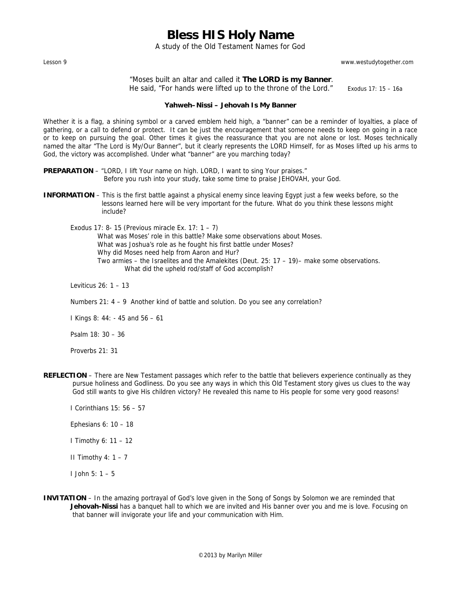A study of the Old Testament Names for God

Lesson 9 www.westudytogether.com

 "Moses built an altar and called it **The LORD is my Banner**. He said, "For hands were lifted up to the throne of the Lord." Exodus 17: 15 - 16a

#### **Yahweh–Nissi – Jehovah Is My Banner**

Whether it is a flag, a shining symbol or a carved emblem held high, a "banner" can be a reminder of loyalties, a place of gathering, or a call to defend or protect. It can be just the encouragement that someone needs to keep on going in a race or to keep on pursuing the goal. Other times it gives the reassurance that you are not alone or lost. Moses technically named the altar "The Lord is My/Our Banner", but it clearly represents the LORD Himself, for as Moses lifted up his arms to God, the victory was accomplished. Under what "banner" are you marching today?

**PREPARATION** – "LORD, I lift Your name on high. LORD, I want to sing Your praises." Before you rush into your study, take some time to praise JEHOVAH, your God.

- **INFORMATION**  This is the first battle against a physical enemy since leaving Egypt just a few weeks before, so the lessons learned here will be very important for the future. What do you think these lessons might include?
	- Exodus 17: 8- 15 (Previous miracle Ex. 17: 1 7) What was Moses' role in this battle? Make some observations about Moses. What was Joshua's role as he fought his first battle under Moses? Why did Moses need help from Aaron and Hur? Two armies – the Israelites and the Amalekites (Deut. 25: 17 – 19)– make some observations. What did the upheld rod/staff of God accomplish?

Leviticus 26: 1 – 13

Numbers 21: 4 – 9 Another kind of battle and solution. Do you see any correlation?

I Kings 8: 44: - 45 and 56 – 61

Psalm 18: 30 – 36

Proverbs 21: 31

- **REFLECTION**  There are New Testament passages which refer to the battle that believers experience continually as they pursue holiness and Godliness. Do you see any ways in which this Old Testament story gives us clues to the way God still wants to give His children victory? He revealed this name to His people for some very good reasons!
	- I Corinthians 15: 56 57
	- Ephesians 6: 10 18
	- I Timothy 6: 11 12
	- II Timothy  $4: 1 7$
	- I John 5: 1 5
- **INVITATION** In the amazing portrayal of God's love given in the Song of Songs by Solomon we are reminded that Jehovah-Nissi has a banquet hall to which we are invited and His banner over you and me is love. Focusing on that banner will invigorate your life and your communication with Him.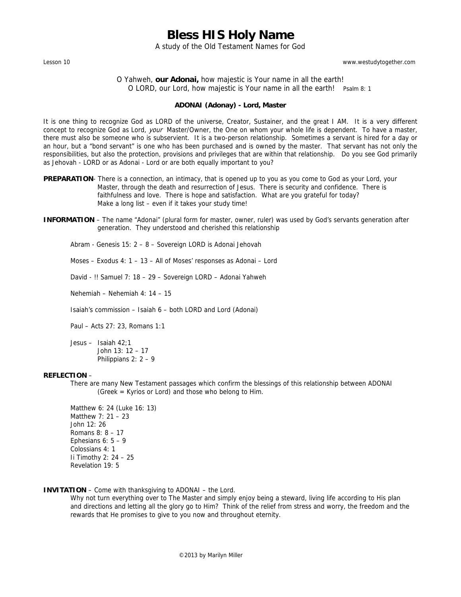A study of the Old Testament Names for God

Lesson 10 www.westudytogether.com

### O Yahweh, **our Adonai,** how majestic is Your name in all the earth! O LORD, our Lord, how majestic is Your name in all the earth! Psalm 8: 1

#### **ADONAI (Adonay) - Lord, Master**

It is one thing to recognize God as LORD of the universe, Creator, Sustainer, and the great I AM. It is a very different concept to recognize God as Lord, *your* Master/Owner, the One on whom your whole life is dependent. To have a master, there must also be someone who is subservient. It is a two-person relationship. Sometimes a servant is hired for a day or an hour, but a "bond servant" is one who has been purchased and is owned by the master. That servant has not only the responsibilities, but also the protection, provisions and privileges that are within that relationship. Do you see God primarily as Jehovah - LORD or as Adonai - Lord or are both equally important to you?

- **PREPARATION** There is a connection, an intimacy, that is opened up to you as you come to God as your Lord, your Master, through the death and resurrection of Jesus. There is security and confidence. There is faithfulness and love. There is hope and satisfaction. What are you grateful for today? Make a long list – even if it takes your study time!
- **INFORMATION** The name "Adonai" (plural form for master, owner, ruler) was used by God's servants generation after generation. They understood and cherished this relationship

Abram - Genesis 15: 2 – 8 – Sovereign LORD is Adonai Jehovah

Moses – Exodus 4: 1 – 13 – All of Moses' responses as Adonai – Lord

David - !! Samuel 7: 18 – 29 – Sovereign LORD – Adonai Yahweh

Nehemiah – Nehemiah 4: 14 – 15

Isaiah's commission – Isaiah 6 – both LORD and Lord (Adonai)

Paul – Acts 27: 23, Romans 1:1

 Jesus – Isaiah 42;1 John 13: 12 – 17 Philippians 2: 2 – 9

#### **REFLECTION** –

There are many New Testament passages which confirm the blessings of this relationship between ADONAI (Greek = Kyrios or Lord) and those who belong to Him.

 Matthew 6: 24 (Luke 16: 13) Matthew 7: 21 – 23 John 12: 26 Romans 8: 8 – 17 Ephesians  $6: 5 - 9$ Colossians 4: 1 Ii Timothy 2: 24 – 25 Revelation 19: 5

### **INVITATION** – Come with thanksgiving to ADONAI – the Lord.

 Why not turn everything over to The Master and simply enjoy being a steward, living life according to His plan and directions and letting all the glory go to Him? Think of the relief from stress and worry, the freedom and the rewards that He promises to give to you now and throughout eternity.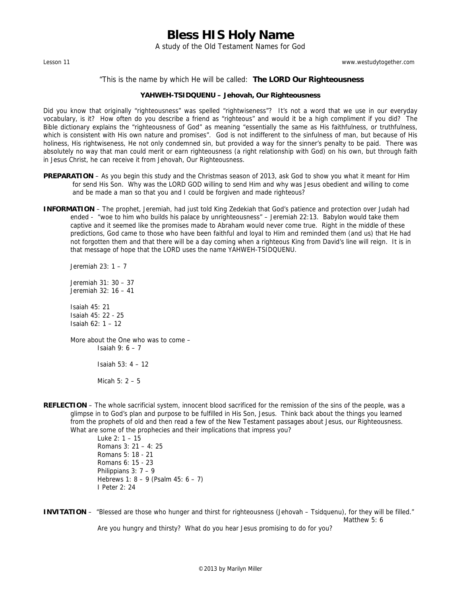A study of the Old Testament Names for God

Lesson 11 www.westudytogether.com

#### "This is the name by which He will be called: **The LORD Our Righteousness**

#### **YAHWEH-TSIDQUENU – Jehovah, Our Righteousness**

Did you know that originally "righteousness" was spelled "rightwiseness"? It's not a word that we use in our everyday vocabulary, is it? How often do you describe a friend as "righteous" and would it be a high compliment if you did? The Bible dictionary explains the "righteousness of God" as meaning "essentially the same as His faithfulness, or truthfulness, which is consistent with His own nature and promises". God is not indifferent to the sinfulness of man, but because of His holiness, His rightwiseness, He not only condemned sin, but provided a way for the sinner's penalty to be paid. There was absolutely no way that man could merit or earn righteousness (a right relationship with God) on his own, but through faith in Jesus Christ, he can receive it from Jehovah, Our Righteousness.

- **PREPARATION** As you begin this study and the Christmas season of 2013, ask God to show you what it meant for Him for send His Son. Why was the LORD GOD willing to send Him and why was Jesus obedient and willing to come and be made a man so that you and I could be forgiven and made righteous?
- **INFORMATION** The prophet, Jeremiah, had just told King Zedekiah that God's patience and protection over Judah had ended - "woe to him who builds his palace by unrighteousness" – Jeremiah 22:13. Babylon would take them captive and it seemed like the promises made to Abraham would never come true. Right in the middle of these predictions, God came to those who have been faithful and loyal to Him and reminded them (and us) that He had not forgotten them and that there will be a day coming when a righteous King from David's line will reign. It is in that message of hope that the LORD uses the name YAHWEH-TSIDQUENU.

Jeremiah 23: 1 – 7

 Jeremiah 31: 30 – 37 Jeremiah 32: 16 – 41

 Isaiah 45: 21 Isaiah 45: 22 - 25 Isaiah 62: 1 – 12

 More about the One who was to come – Isaiah 9: 6 – 7 Isaiah 53: 4 – 12

Micah 5: 2 – 5

**REFLECTION** – The whole sacrificial system, innocent blood sacrificed for the remission of the sins of the people, was a glimpse in to God's plan and purpose to be fulfilled in His Son, Jesus. Think back about the things you learned from the prophets of old and then read a few of the New Testament passages about Jesus, our Righteousness. What are some of the prophecies and their implications that impress you?

 Luke 2: 1 – 15 Romans 3: 21 – 4: 25 Romans 5: 18 - 21 Romans 6: 15 - 23 Philippians 3: 7 – 9 Hebrews 1: 8 – 9 (Psalm 45: 6 – 7) I Peter 2: 24

**INVITATION** – "Blessed are those who hunger and thirst for righteousness (Jehovah – Tsidquenu), for they will be filled." Matthew 5: 6 Are you hungry and thirsty? What do you hear Jesus promising to do for you?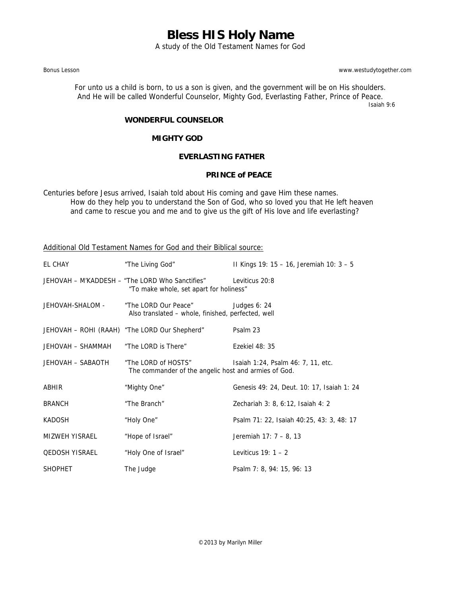A study of the Old Testament Names for God

Bonus Lesson www.westudytogether.com

For unto us a child is born, to us a son is given, and the government will be on His shoulders. And He will be called Wonderful Counselor, Mighty God, Everlasting Father, Prince of Peace.

Isaiah 9:6

### **WONDERFUL COUNSELOR**

### **MIGHTY GOD**

### **EVERLASTING FATHER**

### **PRINCE of PEACE**

Centuries before Jesus arrived, Isaiah told about His coming and gave Him these names. How do they help you to understand the Son of God, who so loved you that He left heaven and came to rescue you and me and to give us the gift of His love and life everlasting?

Additional Old Testament Names for God and their Biblical source:

| EL CHAY               | "The Living God"                                                                           | II Kings 19: 15 - 16, Jeremiah 10: 3 - 5   |
|-----------------------|--------------------------------------------------------------------------------------------|--------------------------------------------|
|                       | JEHOVAH - M'KADDESH - "The LORD Who Sanctifies"<br>"To make whole, set apart for holiness" | Leviticus 20:8                             |
| JEHOVAH-SHALOM -      | "The LORD Our Peace"<br>Also translated - whole, finished, perfected, well                 | Judges 6: 24                               |
|                       | JEHOVAH - ROHI (RAAH) "The LORD Our Shepherd"                                              | Psalm 23                                   |
| JEHOVAH – SHAMMAH     | "The LORD is There"                                                                        | Ezekiel 48: 35                             |
| JEHOVAH - SABAOTH     | "The LORD of HOSTS"<br>The commander of the angelic host and armies of God.                | Isaiah 1:24, Psalm 46: 7, 11, etc.         |
| ABHIR                 | "Mighty One"                                                                               | Genesis 49: 24, Deut. 10: 17, Isaiah 1: 24 |
| <b>BRANCH</b>         | "The Branch"                                                                               | Zechariah 3: 8, 6:12, Isaiah 4: 2          |
| KADOSH                | "Holy One"                                                                                 | Psalm 71: 22, Isaiah 40:25, 43: 3, 48: 17  |
| MIZWEH YISRAEL        | "Hope of Israel"                                                                           | Jeremiah 17: 7 - 8, 13                     |
| <b>QEDOSH YISRAEL</b> | "Holy One of Israel"                                                                       | Leviticus $19:1-2$                         |
| <b>SHOPHET</b>        | The Judge                                                                                  | Psalm 7: 8, 94: 15, 96: 13                 |